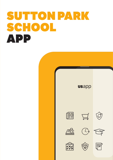# SUTTON PARK SCHOOL **APP**

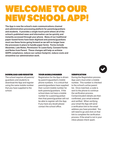## WELCOME TO OUR NEW SCHOOL APP!

The App is now the school's main communications channel and administration processing platform for parents/guardians and students. It provides a single touch point where all of the school's published news and information can be quickly and instantly accessed through your phone. Many of our traditional paper-based forms have been digitised and parents/guardians must use these forms going forward as we will no longer have the processes in place to handle paper forms. Forms include Absentee, Late Notes, Permission To Leave Early, Consent Forms and Notes from Parent. These changes will help us achieve GDPR compliance, reduce our carbon footprint, reduce costs and streamline our administration work.



#### DOWNLOAD AND REGISTER

The school requires all parents/ guardians and students to download the App and register using the same mobile number that you have supplied to the school.

#### YOUR MOBILE NUMBER

Registration for the App is driven by parent's/guardian's mobile phone numbers. It is critical that parents/guardians have supplied their current mobile number for both parents/guardians. If the school does not have a mobile number for a parent/guardian then that parent/guardian will not be able to register wth the App. If you have any doubt please contact the school office.

#### VERIFICATION

During the Registration process App users must enter a mobile number. This number is checked to the school's active parent list. Once matched, a code is sent to the phone to continue the verification process. Contact/student details are then confirmed, your email entered and verified. When verifying your email the App will send a verification link to the email address you have provided. You will need to go and click on that link to complete the verification process. If the email is not in your inbox please check spam.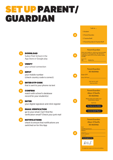## SET UP PARENT/ GUARDIAN

VERIFY

INPUT

ENTER

 $5<sup>1</sup>$ 

 $\mathbf{a}$ 

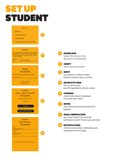### SET UP STUDENT

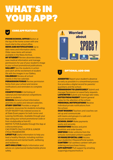# WHAT'S IN YOUR APP?



#### CORE APP FEATURES

**PHONE SCHOOL OFFICE Button at** the top of the home screen with one touch dial to the school office. NEWS AND NOTIFICATIONS Up to date news and information alerts. Older news items will remain available in the News Archive.

**MY STUDENT** Review absentee dates, save medical information and manage permissions for use of your student's image in your school promotional publications. **GALLERY** See the students in action

and catch all the excitement of student life with the images in our Gallery. CALENDAR Review all school

events in the live calendar.

**PERMISSION FORMS** Review permission forms from your school and receive notifications and reminders to complete them.

**COMPETITIONS A full listing of** national and international competitions open to students.

**SCHOOL** General school information and links to useful and relevant websites. **STUDY CENTRE** Provides a range of academic resources for students including: STUDY BUDDY Fully indexed access to all State Exam papers for both Junior and Leaving Certificates. Available through your App using your school promotional code or from studybuddy.ie from €2.

MATHS TUTORAvailable through the App at a discounted price.

CAO POINTS CALCULATOR & JUNIOR CYCLE FRAMEWORK

**LIFESTYLE** Useful information to help you lead a healthy lifestyle, including nutrition and physical and mental health, wellbeing and resilience.

ANTI-BULLYING Helpful information and advice on cyber/social media/mobile phone safety.



 $\mathbf{L}$ 

#### OPTIONAL ADD-ONS

**ABSENTEE** Report your student's absence as early as possible in a streamlined process that provides a digital record for parents/ guardians and the school.

**PERMISSION TO LEAVE EARLY** Submit and manage Permission to Leave Early requests. **LATE NOTES** Submit and manage late notes. NOTES FROM PARENT Submit general notes for the attention of the school.

**PERSONAL NOTIFICATIONS Receive** individual private notifications from the school.

**CHAT BOARDS** Teachers and coaches can set up and communicate with teams and groups in a safe and secure environment.

**SCHOOL SHOP Make payments** easily and securely.

**BOOKSTORE** Review and print booklists and order books. UNIFORM Order uniforms from the schools nominated uniform supplier. VS WARE/EPORTAL LINK Access your student(s) VSware/ePortal system. CANTEEN Full cashless canteen with preordering and purchase history.

**APP SUPPORT** Full support by emailing support@uniqueschools.ie